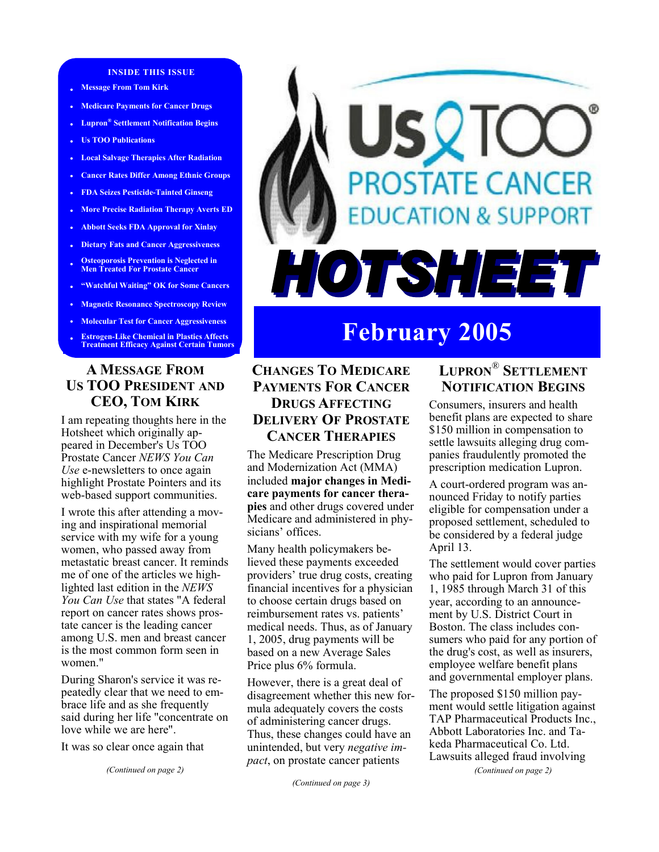#### **INSIDE THIS ISSUE**

- **Message From Tom Kirk**
- **• Medicare Payments for Cancer Drugs**
- **• Lupron® Settlement Notification Begins**
- **• Us TOO Publications**
- **• Local Salvage Therapies After Radiation**
- **• Cancer Rates Differ Among Ethnic Groups**
- **• FDA Seizes Pesticide-Tainted Ginseng**
- **• More Precise Radiation Therapy Averts ED**
- **• Abbott Seeks FDA Approval for Xinlay**
- **• Dietary Fats and Cancer Aggressiveness**
- **Osteoporosis Prevention is Neglected in Men Treated For Prostate Cancer**
- **"Watchful Waiting" OK for Some Cancers**
- **• Magnetic Resonance Spectroscopy Review**
- **• Molecular Test for Cancer Aggressiveness**
- **• Estrogen-Like Chemical in Plastics Affects Treatment Efficacy Against Certain Tumors**

#### **A MESSAGE FROM US TOO PRESIDENT AND CEO, TOM KIRK**

I am repeating thoughts here in the Hotsheet which originally appeared in December's Us TOO Prostate Cancer *NEWS You Can Use* e-newsletters to once again highlight Prostate Pointers and its web-based support communities.

I wrote this after attending a moving and inspirational memorial service with my wife for a young women, who passed away from metastatic breast cancer. It reminds me of one of the articles we highlighted last edition in the *NEWS You Can Use* that states "A federal report on cancer rates shows prostate cancer is the leading cancer among U.S. men and breast cancer is the most common form seen in women<sup>"</sup>

During Sharon's service it was repeatedly clear that we need to embrace life and as she frequently said during her life "concentrate on love while we are here".

It was so clear once again that

*(Continued on page 2)* 

# SQTC **PROSTATE CANCER DUCATION & SUPPORT** HOTSHEET

## **February 2005**

### **CHANGES TO MEDICARE PAYMENTS FOR CANCER DRUGS AFFECTING DELIVERY OF PROSTATE CANCER THERAPIES**

The Medicare Prescription Drug and Modernization Act (MMA) included **major changes in Medicare payments for cancer therapies** and other drugs covered under Medicare and administered in physicians' offices.

Many health policymakers believed these payments exceeded providers' true drug costs, creating financial incentives for a physician to choose certain drugs based on reimbursement rates vs. patients' medical needs. Thus, as of January 1, 2005, drug payments will be based on a new Average Sales Price plus 6% formula.

However, there is a great deal of disagreement whether this new formula adequately covers the costs of administering cancer drugs. Thus, these changes could have an unintended, but very *negative impact*, on prostate cancer patients

*(Continued on page 3)* 

### **LUPRON**® **SETTLEMENT NOTIFICATION BEGINS**

Consumers, insurers and health benefit plans are expected to share \$150 million in compensation to settle lawsuits alleging drug companies fraudulently promoted the prescription medication Lupron.

A court-ordered program was announced Friday to notify parties eligible for compensation under a proposed settlement, scheduled to be considered by a federal judge April 13.

The settlement would cover parties who paid for Lupron from January 1, 1985 through March 31 of this year, according to an announcement by U.S. District Court in Boston. The class includes consumers who paid for any portion of the drug's cost, as well as insurers, employee welfare benefit plans and governmental employer plans.

The proposed \$150 million payment would settle litigation against TAP Pharmaceutical Products Inc., Abbott Laboratories Inc. and Takeda Pharmaceutical Co. Ltd. Lawsuits alleged fraud involving

*(Continued on page 2)*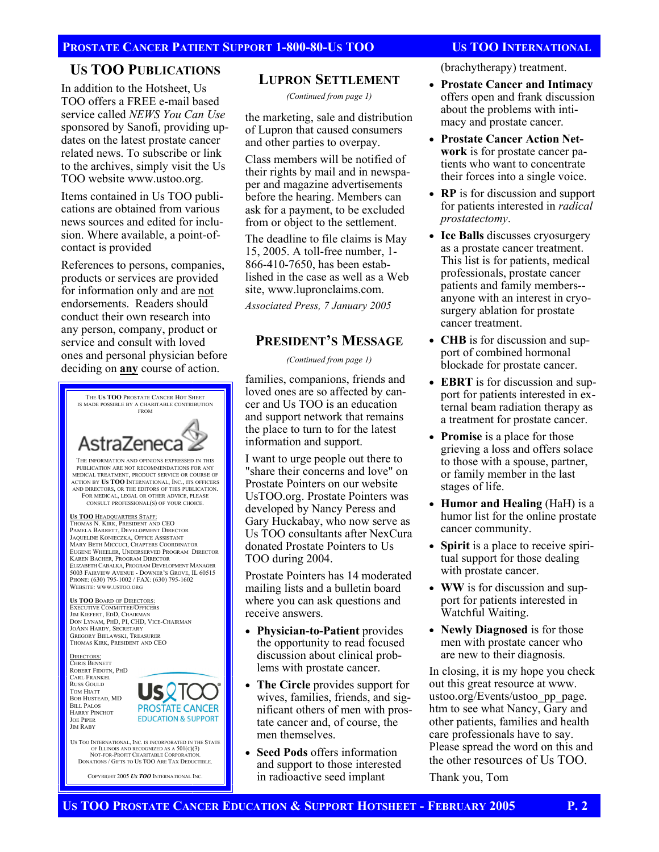#### **US TOO PUBLICATIONS**

In addition to the Hotsheet, Us TOO offers a FREE e-mail based service called *NEWS You Can Use*  sponsored by Sanofi, providing updates on the latest prostate cancer related news. To subscribe or link to the archives, simply visit the Us TOO website www.ustoo.org.

Items contained in Us TOO publications are obtained from various news sources and edited for inclusion. Where available, a point-ofcontact is provided

References to persons, companies, products or services are provided for information only and are not endorsements. Readers should conduct their own research into any person, company, product or service and consult with loved ones and personal physician before deciding on **any** course of action.



OF ILLINOIS AND RECOGNIZED AS A 501(C)(3) NOT-FOR-PROFIT CHARITABLE CORPORATION. DONATIONS / GIFTS TO US TOO ARE TAX DEDUCTIBLE.

COPYRIGHT 2005 *US TOO* INTERNATIONAL INC.

#### **LUPRON SETTLEMENT**

*(Continued from page 1)* 

the marketing, sale and distribution of Lupron that caused consumers and other parties to overpay.

Class members will be notified of their rights by mail and in newspaper and magazine advertisements before the hearing. Members can ask for a payment, to be excluded from or object to the settlement.

The deadline to file claims is May 15, 2005. A toll-free number, 1- 866-410-7650, has been established in the case as well as a Web site, www.lupronclaims.com.

*Associated Press, 7 January 2005* 

#### **PRESIDENT'S MESSAGE**

*(Continued from page 1)* 

families, companions, friends and loved ones are so affected by cancer and Us TOO is an education and support network that remains the place to turn to for the latest information and support.

I want to urge people out there to "share their concerns and love" on Prostate Pointers on our website UsTOO.org. Prostate Pointers was developed by Nancy Peress and Gary Huckabay, who now serve as Us TOO consultants after NexCura donated Prostate Pointers to Us TOO during 2004.

Prostate Pointers has 14 moderated mailing lists and a bulletin board where you can ask questions and receive answers.

- **Physician-to-Patient** provides the opportunity to read focused discussion about clinical problems with prostate cancer.
- **The Circle** provides support for wives, families, friends, and significant others of men with prostate cancer and, of course, the men themselves.
- **Seed Pods** offers information and support to those interested in radioactive seed implant

(brachytherapy) treatment.

- **Prostate Cancer and Intimacy**  offers open and frank discussion about the problems with intimacy and prostate cancer.
- **Prostate Cancer Action Network** is for prostate cancer patients who want to concentrate their forces into a single voice.
- **RP** is for discussion and support for patients interested in *radical prostatectomy*.
- **Ice Balls** discusses cryosurgery as a prostate cancer treatment. This list is for patients, medical professionals, prostate cancer patients and family members- anyone with an interest in cryosurgery ablation for prostate cancer treatment.
- **CHB** is for discussion and support of combined hormonal blockade for prostate cancer.
- **EBRT** is for discussion and support for patients interested in external beam radiation therapy as a treatment for prostate cancer.
- **Promise** is a place for those grieving a loss and offers solace to those with a spouse, partner, or family member in the last stages of life.
- **Humor and Healing** (HaH) is a humor list for the online prostate cancer community.
- **Spirit** is a place to receive spiritual support for those dealing with prostate cancer.
- **WW** is for discussion and support for patients interested in Watchful Waiting.
- **Newly Diagnosed** is for those men with prostate cancer who are new to their diagnosis.

In closing, it is my hope you check out this great resource at www. ustoo.org/Events/ustoo\_pp\_page. htm to see what Nancy, Gary and other patients, families and health care professionals have to say. Please spread the word on this and the other resources of Us TOO.

Thank you, Tom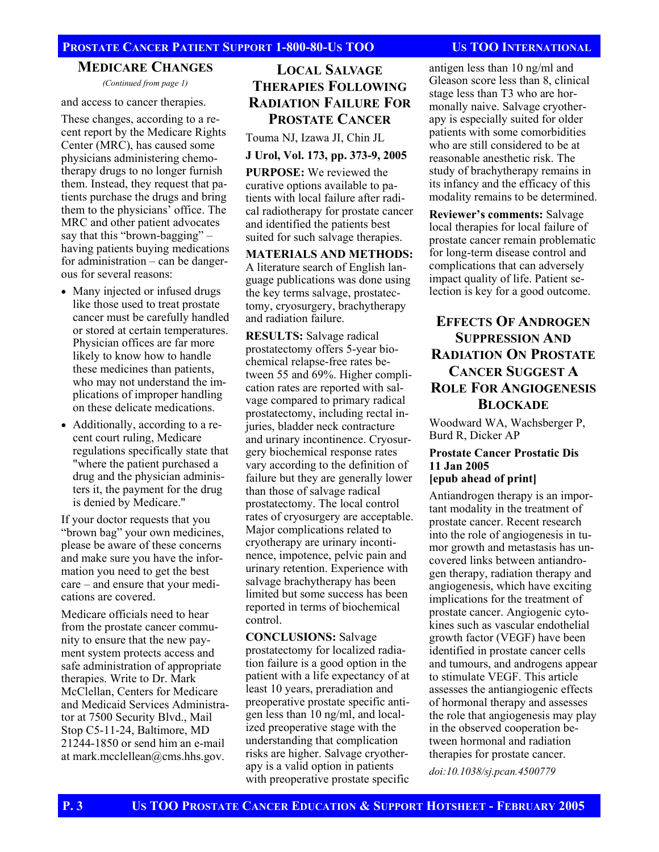#### **MEDICARE CHANGES**

*(Continued from page 1)* 

and access to cancer therapies.

These changes, according to a recent report by the Medicare Rights Center (MRC), has caused some physicians administering chemotherapy drugs to no longer furnish them. Instead, they request that patients purchase the drugs and bring them to the physicians' office. The MRC and other patient advocates say that this "brown-bagging" – having patients buying medications for administration – can be dangerous for several reasons:

- Many injected or infused drugs like those used to treat prostate cancer must be carefully handled or stored at certain temperatures. Physician offices are far more likely to know how to handle these medicines than patients, who may not understand the implications of improper handling on these delicate medications.
- Additionally, according to a recent court ruling, Medicare regulations specifically state that "where the patient purchased a drug and the physician administers it, the payment for the drug is denied by Medicare."

If your doctor requests that you "brown bag" your own medicines, please be aware of these concerns and make sure you have the information you need to get the best care – and ensure that your medications are covered.

Medicare officials need to hear from the prostate cancer community to ensure that the new payment system protects access and safe administration of appropriate therapies. Write to Dr. Mark McClellan, Centers for Medicare and Medicaid Services Administrator at 7500 Security Blvd., Mail Stop C5-11-24, Baltimore, MD 21244-1850 or send him an e-mail at mark.mcclellean@cms.hhs.gov.

### **LOCAL SALVAGE THERAPIES FOLLOWING RADIATION FAILURE FOR PROSTATE CANCER**

Touma NJ, Izawa JI, Chin JL

#### **J Urol, Vol. 173, pp. 373-9, 2005**

**PURPOSE:** We reviewed the curative options available to patients with local failure after radical radiotherapy for prostate cancer and identified the patients best suited for such salvage therapies.

**MATERIALS AND METHODS:** A literature search of English language publications was done using the key terms salvage, prostatectomy, cryosurgery, brachytherapy and radiation failure.

**RESULTS:** Salvage radical prostatectomy offers 5-year biochemical relapse-free rates between 55 and 69%. Higher complication rates are reported with salvage compared to primary radical prostatectomy, including rectal injuries, bladder neck contracture and urinary incontinence. Cryosurgery biochemical response rates vary according to the definition of failure but they are generally lower than those of salvage radical prostatectomy. The local control rates of cryosurgery are acceptable. Major complications related to cryotherapy are urinary incontinence, impotence, pelvic pain and urinary retention. Experience with salvage brachytherapy has been limited but some success has been reported in terms of biochemical control.

**CONCLUSIONS:** Salvage prostatectomy for localized radiation failure is a good option in the patient with a life expectancy of at least 10 years, preradiation and preoperative prostate specific antigen less than 10 ng/ml, and localized preoperative stage with the understanding that complication risks are higher. Salvage cryotherapy is a valid option in patients with preoperative prostate specific

antigen less than 10 ng/ml and Gleason score less than 8, clinical stage less than T3 who are hormonally naive. Salvage cryotherapy is especially suited for older patients with some comorbidities who are still considered to be at reasonable anesthetic risk. The study of brachytherapy remains in its infancy and the efficacy of this modality remains to be determined.

**Reviewer's comments:** Salvage local therapies for local failure of prostate cancer remain problematic for long-term disease control and complications that can adversely impact quality of life. Patient selection is key for a good outcome.

### **EFFECTS OF ANDROGEN SUPPRESSION AND RADIATION ON PROSTATE CANCER SUGGEST A ROLE FOR ANGIOGENESIS BLOCKADE**

Woodward WA, Wachsberger P, Burd R, Dicker AP

#### **Prostate Cancer Prostatic Dis 11 Jan 2005 [epub ahead of print]**

Antiandrogen therapy is an important modality in the treatment of prostate cancer. Recent research into the role of angiogenesis in tumor growth and metastasis has uncovered links between antiandrogen therapy, radiation therapy and angiogenesis, which have exciting implications for the treatment of prostate cancer. Angiogenic cytokines such as vascular endothelial growth factor (VEGF) have been identified in prostate cancer cells and tumours, and androgens appear to stimulate VEGF. This article assesses the antiangiogenic effects of hormonal therapy and assesses the role that angiogenesis may play in the observed cooperation between hormonal and radiation therapies for prostate cancer.

*doi:10.1038/sj.pcan.4500779*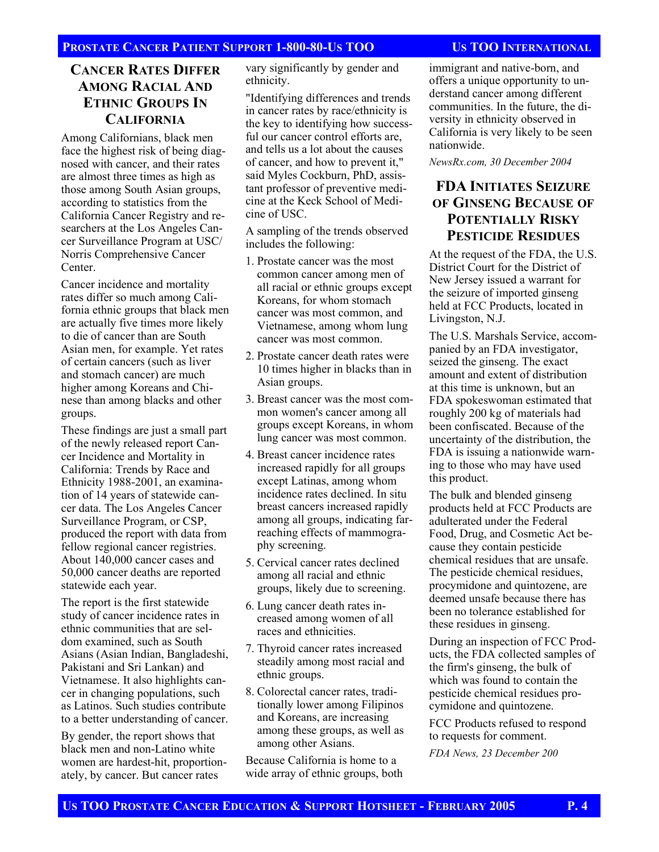### **CANCER RATES DIFFER AMONG RACIAL AND ETHNIC GROUPS IN CALIFORNIA**

Among Californians, black men face the highest risk of being diagnosed with cancer, and their rates are almost three times as high as those among South Asian groups, according to statistics from the California Cancer Registry and researchers at the Los Angeles Cancer Surveillance Program at USC/ Norris Comprehensive Cancer Center.

Cancer incidence and mortality rates differ so much among California ethnic groups that black men are actually five times more likely to die of cancer than are South Asian men, for example. Yet rates of certain cancers (such as liver and stomach cancer) are much higher among Koreans and Chinese than among blacks and other groups.

These findings are just a small part of the newly released report Cancer Incidence and Mortality in California: Trends by Race and Ethnicity 1988-2001, an examination of 14 years of statewide cancer data. The Los Angeles Cancer Surveillance Program, or CSP, produced the report with data from fellow regional cancer registries. About 140,000 cancer cases and 50,000 cancer deaths are reported statewide each year.

The report is the first statewide study of cancer incidence rates in ethnic communities that are seldom examined, such as South Asians (Asian Indian, Bangladeshi, Pakistani and Sri Lankan) and Vietnamese. It also highlights cancer in changing populations, such as Latinos. Such studies contribute to a better understanding of cancer.

By gender, the report shows that black men and non-Latino white women are hardest-hit, proportionately, by cancer. But cancer rates

vary significantly by gender and ethnicity.

"Identifying differences and trends in cancer rates by race/ethnicity is the key to identifying how successful our cancer control efforts are, and tells us a lot about the causes of cancer, and how to prevent it," said Myles Cockburn, PhD, assistant professor of preventive medicine at the Keck School of Medicine of USC.

A sampling of the trends observed includes the following:

- 1. Prostate cancer was the most common cancer among men of all racial or ethnic groups except Koreans, for whom stomach cancer was most common, and Vietnamese, among whom lung cancer was most common.
- 2. Prostate cancer death rates were 10 times higher in blacks than in Asian groups.
- 3. Breast cancer was the most common women's cancer among all groups except Koreans, in whom lung cancer was most common.
- 4. Breast cancer incidence rates increased rapidly for all groups except Latinas, among whom incidence rates declined. In situ breast cancers increased rapidly among all groups, indicating farreaching effects of mammography screening.
- 5. Cervical cancer rates declined among all racial and ethnic groups, likely due to screening.
- 6. Lung cancer death rates increased among women of all races and ethnicities.
- 7. Thyroid cancer rates increased steadily among most racial and ethnic groups.
- 8. Colorectal cancer rates, traditionally lower among Filipinos and Koreans, are increasing among these groups, as well as among other Asians.

Because California is home to a wide array of ethnic groups, both

immigrant and native-born, and offers a unique opportunity to understand cancer among different communities. In the future, the diversity in ethnicity observed in California is very likely to be seen nationwide.

*NewsRx.com, 30 December 2004* 

### **FDA INITIATES SEIZURE OF GINSENG BECAUSE OF POTENTIALLY RISKY PESTICIDE RESIDUES**

At the request of the FDA, the U.S. District Court for the District of New Jersey issued a warrant for the seizure of imported ginseng held at FCC Products, located in Livingston, N.J.

The U.S. Marshals Service, accompanied by an FDA investigator, seized the ginseng. The exact amount and extent of distribution at this time is unknown, but an FDA spokeswoman estimated that roughly 200 kg of materials had been confiscated. Because of the uncertainty of the distribution, the FDA is issuing a nationwide warning to those who may have used this product.

The bulk and blended ginseng products held at FCC Products are adulterated under the Federal Food, Drug, and Cosmetic Act because they contain pesticide chemical residues that are unsafe. The pesticide chemical residues, procymidone and quintozene, are deemed unsafe because there has been no tolerance established for these residues in ginseng.

During an inspection of FCC Products, the FDA collected samples of the firm's ginseng, the bulk of which was found to contain the pesticide chemical residues procymidone and quintozene.

FCC Products refused to respond to requests for comment.

*FDA News, 23 December 200*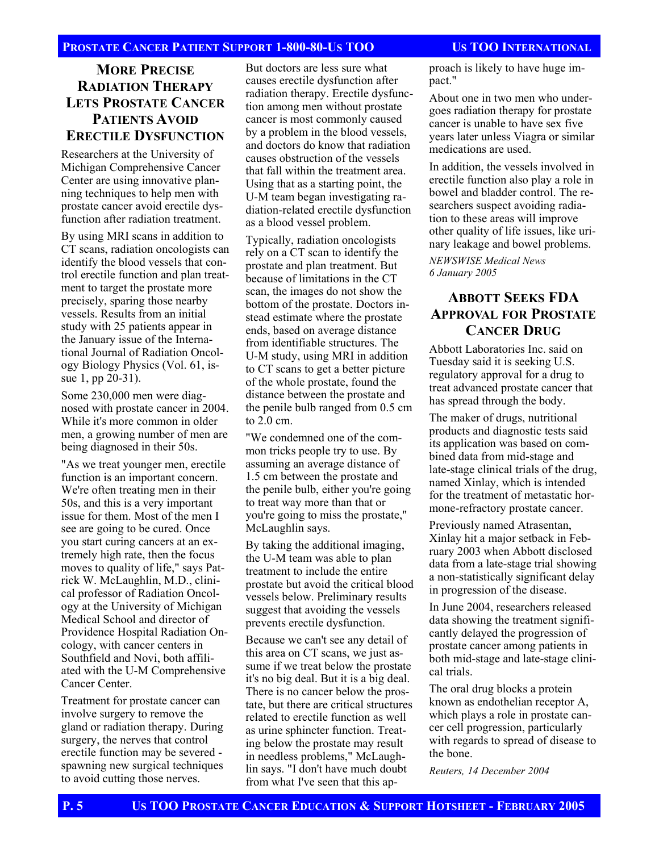#### **MORE PRECISE RADIATION THERAPY LETS PROSTATE CANCER PATIENTS AVOID ERECTILE DYSFUNCTION**

Researchers at the University of Michigan Comprehensive Cancer Center are using innovative planning techniques to help men with prostate cancer avoid erectile dysfunction after radiation treatment.

By using MRI scans in addition to CT scans, radiation oncologists can identify the blood vessels that control erectile function and plan treatment to target the prostate more precisely, sparing those nearby vessels. Results from an initial study with 25 patients appear in the January issue of the International Journal of Radiation Oncology Biology Physics (Vol. 61, issue 1, pp 20-31).

Some 230,000 men were diagnosed with prostate cancer in 2004. While it's more common in older men, a growing number of men are being diagnosed in their 50s.

"As we treat younger men, erectile function is an important concern. We're often treating men in their 50s, and this is a very important issue for them. Most of the men I see are going to be cured. Once you start curing cancers at an extremely high rate, then the focus moves to quality of life," says Patrick W. McLaughlin, M.D., clinical professor of Radiation Oncology at the University of Michigan Medical School and director of Providence Hospital Radiation Oncology, with cancer centers in Southfield and Novi, both affiliated with the U-M Comprehensive Cancer Center.

Treatment for prostate cancer can involve surgery to remove the gland or radiation therapy. During surgery, the nerves that control erectile function may be severed spawning new surgical techniques to avoid cutting those nerves.

But doctors are less sure what causes erectile dysfunction after radiation therapy. Erectile dysfunction among men without prostate cancer is most commonly caused by a problem in the blood vessels, and doctors do know that radiation causes obstruction of the vessels that fall within the treatment area. Using that as a starting point, the U-M team began investigating radiation-related erectile dysfunction as a blood vessel problem.

Typically, radiation oncologists rely on a CT scan to identify the prostate and plan treatment. But because of limitations in the CT scan, the images do not show the bottom of the prostate. Doctors instead estimate where the prostate ends, based on average distance from identifiable structures. The U-M study, using MRI in addition to CT scans to get a better picture of the whole prostate, found the distance between the prostate and the penile bulb ranged from 0.5 cm to 2.0 cm.

"We condemned one of the common tricks people try to use. By assuming an average distance of 1.5 cm between the prostate and the penile bulb, either you're going to treat way more than that or you're going to miss the prostate," McLaughlin says.

By taking the additional imaging, the U-M team was able to plan treatment to include the entire prostate but avoid the critical blood vessels below. Preliminary results suggest that avoiding the vessels prevents erectile dysfunction.

Because we can't see any detail of this area on CT scans, we just assume if we treat below the prostate it's no big deal. But it is a big deal. There is no cancer below the prostate, but there are critical structures related to erectile function as well as urine sphincter function. Treating below the prostate may result in needless problems," McLaughlin says. "I don't have much doubt from what I've seen that this approach is likely to have huge impact."

About one in two men who undergoes radiation therapy for prostate cancer is unable to have sex five years later unless Viagra or similar medications are used.

In addition, the vessels involved in erectile function also play a role in bowel and bladder control. The researchers suspect avoiding radiation to these areas will improve other quality of life issues, like urinary leakage and bowel problems.

*NEWSWISE Medical News 6 January 2005* 

### **ABBOTT SEEKS FDA APPROVAL FOR PROSTATE CANCER DRUG**

Abbott Laboratories Inc. said on Tuesday said it is seeking U.S. regulatory approval for a drug to treat advanced prostate cancer that has spread through the body.

The maker of drugs, nutritional products and diagnostic tests said its application was based on combined data from mid-stage and late-stage clinical trials of the drug, named Xinlay, which is intended for the treatment of metastatic hormone-refractory prostate cancer.

Previously named Atrasentan, Xinlay hit a major setback in February 2003 when Abbott disclosed data from a late-stage trial showing a non-statistically significant delay in progression of the disease.

In June 2004, researchers released data showing the treatment significantly delayed the progression of prostate cancer among patients in both mid-stage and late-stage clinical trials.

The oral drug blocks a protein known as endothelian receptor A, which plays a role in prostate cancer cell progression, particularly with regards to spread of disease to the bone.

*Reuters, 14 December 2004*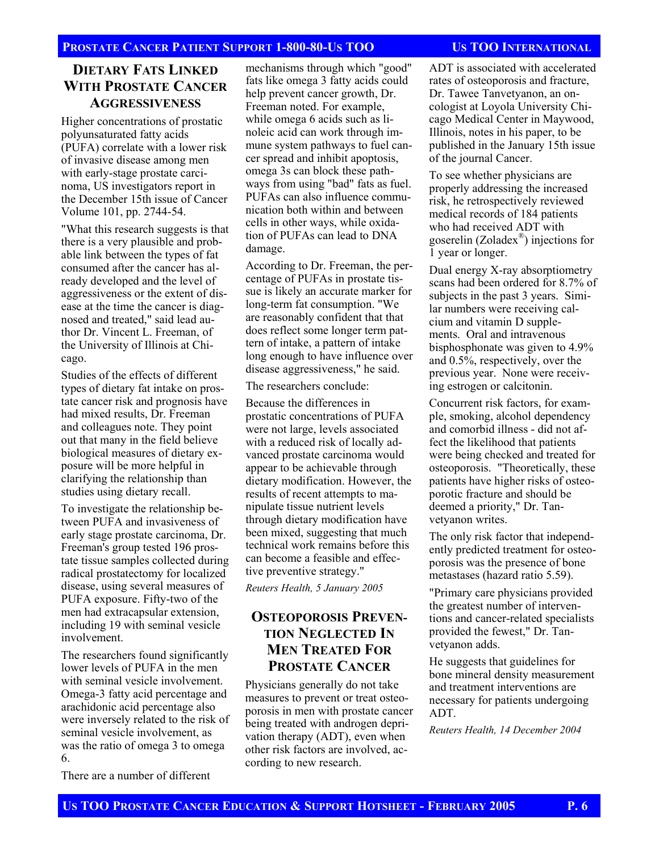#### **DIETARY FATS LINKED WITH PROSTATE CANCER AGGRESSIVENESS**

Higher concentrations of prostatic polyunsaturated fatty acids (PUFA) correlate with a lower risk of invasive disease among men with early-stage prostate carcinoma, US investigators report in the December 15th issue of Cancer Volume 101, pp. 2744-54.

"What this research suggests is that there is a very plausible and probable link between the types of fat consumed after the cancer has already developed and the level of aggressiveness or the extent of disease at the time the cancer is diagnosed and treated," said lead author Dr. Vincent L. Freeman, of the University of Illinois at Chicago.

Studies of the effects of different types of dietary fat intake on prostate cancer risk and prognosis have had mixed results, Dr. Freeman and colleagues note. They point out that many in the field believe biological measures of dietary exposure will be more helpful in clarifying the relationship than studies using dietary recall.

To investigate the relationship between PUFA and invasiveness of early stage prostate carcinoma, Dr. Freeman's group tested 196 prostate tissue samples collected during radical prostatectomy for localized disease, using several measures of PUFA exposure. Fifty-two of the men had extracapsular extension, including 19 with seminal vesicle involvement.

The researchers found significantly lower levels of PUFA in the men with seminal vesicle involvement. Omega-3 fatty acid percentage and arachidonic acid percentage also were inversely related to the risk of seminal vesicle involvement, as was the ratio of omega 3 to omega 6.

There are a number of different

mechanisms through which "good" fats like omega 3 fatty acids could help prevent cancer growth, Dr. Freeman noted. For example, while omega 6 acids such as linoleic acid can work through immune system pathways to fuel cancer spread and inhibit apoptosis, omega 3s can block these pathways from using "bad" fats as fuel. PUFAs can also influence communication both within and between cells in other ways, while oxidation of PUFAs can lead to DNA damage.

According to Dr. Freeman, the percentage of PUFAs in prostate tissue is likely an accurate marker for long-term fat consumption. "We are reasonably confident that that does reflect some longer term pattern of intake, a pattern of intake long enough to have influence over disease aggressiveness," he said.

The researchers conclude:

Because the differences in prostatic concentrations of PUFA were not large, levels associated with a reduced risk of locally advanced prostate carcinoma would appear to be achievable through dietary modification. However, the results of recent attempts to manipulate tissue nutrient levels through dietary modification have been mixed, suggesting that much technical work remains before this can become a feasible and effective preventive strategy."

*Reuters Health, 5 January 2005* 

#### **OSTEOPOROSIS PREVEN-TION NEGLECTED IN MEN TREATED FOR PROSTATE CANCER**

Physicians generally do not take measures to prevent or treat osteoporosis in men with prostate cancer being treated with androgen deprivation therapy (ADT), even when other risk factors are involved, according to new research.

ADT is associated with accelerated rates of osteoporosis and fracture, Dr. Tawee Tanvetyanon, an oncologist at Loyola University Chicago Medical Center in Maywood, Illinois, notes in his paper, to be published in the January 15th issue of the journal Cancer.

To see whether physicians are properly addressing the increased risk, he retrospectively reviewed medical records of 184 patients who had received ADT with goserelin (Zoladex®) injections for 1 year or longer.

Dual energy X-ray absorptiometry scans had been ordered for 8.7% of subjects in the past 3 years. Similar numbers were receiving calcium and vitamin D supplements. Oral and intravenous bisphosphonate was given to 4.9% and 0.5%, respectively, over the previous year. None were receiving estrogen or calcitonin.

Concurrent risk factors, for example, smoking, alcohol dependency and comorbid illness - did not affect the likelihood that patients were being checked and treated for osteoporosis. "Theoretically, these patients have higher risks of osteoporotic fracture and should be deemed a priority," Dr. Tanvetyanon writes.

The only risk factor that independently predicted treatment for osteoporosis was the presence of bone metastases (hazard ratio 5.59).

"Primary care physicians provided the greatest number of interventions and cancer-related specialists provided the fewest," Dr. Tanvetyanon adds.

He suggests that guidelines for bone mineral density measurement and treatment interventions are necessary for patients undergoing ADT.

*Reuters Health, 14 December 2004*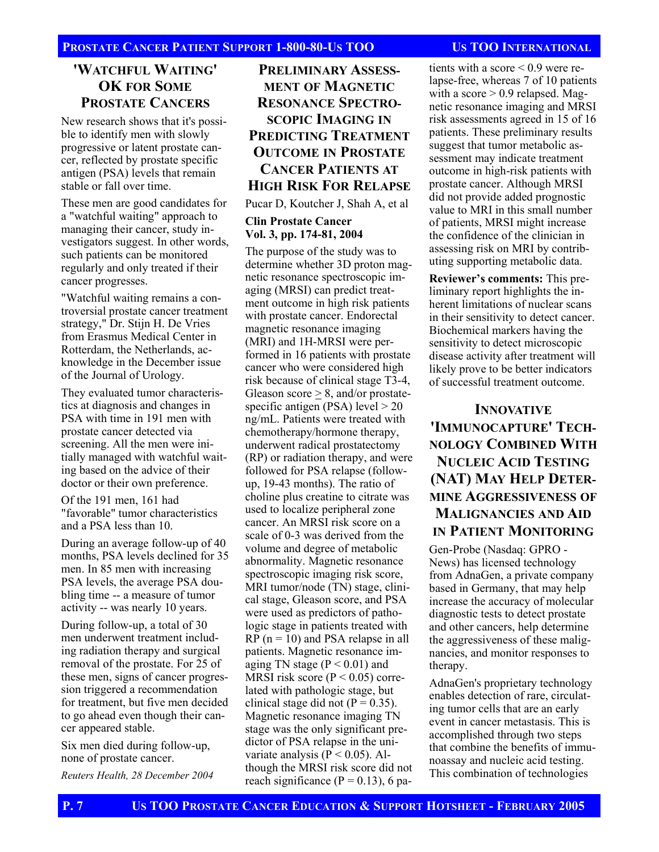#### **'WATCHFUL WAITING' OK FOR SOME PROSTATE CANCERS**

New research shows that it's possible to identify men with slowly progressive or latent prostate cancer, reflected by prostate specific antigen (PSA) levels that remain stable or fall over time.

These men are good candidates for a "watchful waiting" approach to managing their cancer, study investigators suggest. In other words, such patients can be monitored regularly and only treated if their cancer progresses.

"Watchful waiting remains a controversial prostate cancer treatment strategy," Dr. Stijn H. De Vries from Erasmus Medical Center in Rotterdam, the Netherlands, acknowledge in the December issue of the Journal of Urology.

They evaluated tumor characteristics at diagnosis and changes in PSA with time in 191 men with prostate cancer detected via screening. All the men were initially managed with watchful waiting based on the advice of their doctor or their own preference.

Of the 191 men, 161 had "favorable" tumor characteristics and a PSA less than 10.

During an average follow-up of 40 months, PSA levels declined for 35 men. In 85 men with increasing PSA levels, the average PSA doubling time -- a measure of tumor activity -- was nearly 10 years.

During follow-up, a total of 30 men underwent treatment including radiation therapy and surgical removal of the prostate. For 25 of these men, signs of cancer progression triggered a recommendation for treatment, but five men decided to go ahead even though their cancer appeared stable.

Six men died during follow-up, none of prostate cancer.

*Reuters Health, 28 December 2004* 

### **PRELIMINARY ASSESS-MENT OF MAGNETIC RESONANCE SPECTRO-SCOPIC IMAGING IN PREDICTING TREATMENT OUTCOME IN PROSTATE CANCER PATIENTS AT HIGH RISK FOR RELAPSE**

Pucar D, Koutcher J, Shah A, et al

#### **Clin Prostate Cancer Vol. 3, pp. 174-81, 2004**

The purpose of the study was to determine whether 3D proton magnetic resonance spectroscopic imaging (MRSI) can predict treatment outcome in high risk patients with prostate cancer. Endorectal magnetic resonance imaging (MRI) and 1H-MRSI were performed in 16 patients with prostate cancer who were considered high risk because of clinical stage T3-4, Gleason score > 8, and/or prostatespecific antigen (PSA) level  $> 20$ ng/mL. Patients were treated with chemotherapy/hormone therapy, underwent radical prostatectomy (RP) or radiation therapy, and were followed for PSA relapse (followup, 19-43 months). The ratio of choline plus creatine to citrate was used to localize peripheral zone cancer. An MRSI risk score on a scale of 0-3 was derived from the volume and degree of metabolic abnormality. Magnetic resonance spectroscopic imaging risk score, MRI tumor/node (TN) stage, clinical stage, Gleason score, and PSA were used as predictors of pathologic stage in patients treated with  $RP (n = 10)$  and PSA relapse in all patients. Magnetic resonance imaging TN stage ( $P < 0.01$ ) and MRSI risk score ( $P < 0.05$ ) correlated with pathologic stage, but clinical stage did not  $(P = 0.35)$ . Magnetic resonance imaging TN stage was the only significant predictor of PSA relapse in the univariate analysis ( $\hat{P}$  < 0.05). Although the MRSI risk score did not reach significance  $(P = 0.13)$ , 6 pa-

tients with a score  $\leq 0.9$  were relapse-free, whereas 7 of 10 patients with a score  $> 0.9$  relapsed. Magnetic resonance imaging and MRSI risk assessments agreed in 15 of 16 patients. These preliminary results suggest that tumor metabolic assessment may indicate treatment outcome in high-risk patients with prostate cancer. Although MRSI did not provide added prognostic value to MRI in this small number of patients, MRSI might increase the confidence of the clinician in assessing risk on MRI by contributing supporting metabolic data.

**Reviewer's comments:** This preliminary report highlights the inherent limitations of nuclear scans in their sensitivity to detect cancer. Biochemical markers having the sensitivity to detect microscopic disease activity after treatment will likely prove to be better indicators of successful treatment outcome.

**INNOVATIVE 'IMMUNOCAPTURE' TECH-NOLOGY COMBINED WITH NUCLEIC ACID TESTING (NAT) MAY HELP DETER-MINE AGGRESSIVENESS OF MALIGNANCIES AND AID IN PATIENT MONITORING**

Gen-Probe (Nasdaq: GPRO - News) has licensed technology from AdnaGen, a private company based in Germany, that may help increase the accuracy of molecular diagnostic tests to detect prostate and other cancers, help determine the aggressiveness of these malignancies, and monitor responses to therapy.

AdnaGen's proprietary technology enables detection of rare, circulating tumor cells that are an early event in cancer metastasis. This is accomplished through two steps that combine the benefits of immunoassay and nucleic acid testing. This combination of technologies